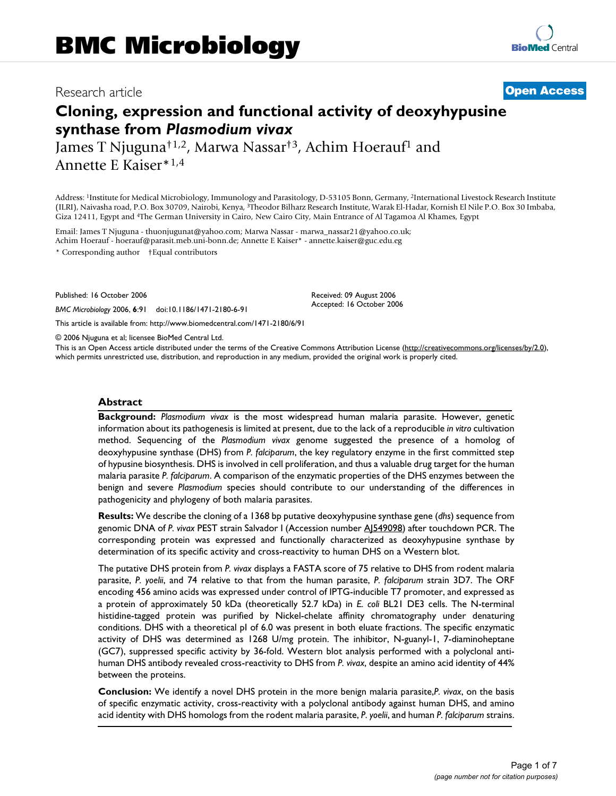# Research article **[Open Access](http://www.biomedcentral.com/info/about/charter/)**

# **Cloning, expression and functional activity of deoxyhypusine synthase from** *Plasmodium vivax*

James T Njuguna<sup>†1,2</sup>, Marwa Nassar<sup>†3</sup>, Achim Hoerauf<sup>1</sup> and Annette E Kaiser\*1,4

Address: 1Institute for Medical Microbiology, Immunology and Parasitology, D-53105 Bonn, Germany, 2International Livestock Research Institute (ILRI), Naivasha road, P.O. Box 30709, Nairobi, Kenya, 3Theodor Bilharz Research Institute, Warak El-Hadar, Kornish El Nile P.O. Box 30 Imbaba, Giza 12411, Egypt and 4The German University in Cairo, New Cairo City, Main Entrance of Al Tagamoa Al Khames, Egypt

Email: James T Njuguna - thuonjugunat@yahoo.com; Marwa Nassar - marwa\_nassar21@yahoo.co.uk; Achim Hoerauf - hoerauf@parasit.meb.uni-bonn.de; Annette E Kaiser\* - annette.kaiser@guc.edu.eg \* Corresponding author †Equal contributors

Published: 16 October 2006

*BMC Microbiology* 2006, **6**:91 doi:10.1186/1471-2180-6-91

[This article is available from: http://www.biomedcentral.com/1471-2180/6/91](http://www.biomedcentral.com/1471-2180/6/91)

© 2006 Njuguna et al; licensee BioMed Central Ltd.

This is an Open Access article distributed under the terms of the Creative Commons Attribution License [\(http://creativecommons.org/licenses/by/2.0\)](http://creativecommons.org/licenses/by/2.0), which permits unrestricted use, distribution, and reproduction in any medium, provided the original work is properly cited.

Received: 09 August 2006 Accepted: 16 October 2006

#### **Abstract**

**Background:** *Plasmodium vivax* is the most widespread human malaria parasite. However, genetic information about its pathogenesis is limited at present, due to the lack of a reproducible *in vitro* cultivation method. Sequencing of the *Plasmodium vivax* genome suggested the presence of a homolog of deoxyhypusine synthase (DHS) from *P. falciparum*, the key regulatory enzyme in the first committed step of hypusine biosynthesis. DHS is involved in cell proliferation, and thus a valuable drug target for the human malaria parasite *P. falciparum*. A comparison of the enzymatic properties of the DHS enzymes between the benign and severe *Plasmodium* species should contribute to our understanding of the differences in pathogenicity and phylogeny of both malaria parasites.

**Results:** We describe the cloning of a 1368 bp putative deoxyhypusine synthase gene (*dhs*) sequence from genomic DNA of *P. vivax* PEST strain Salvador I (Accession number [AJ549098](http://www.ncbi.nih.gov/entrez/query.fcgi?db=Nucleotide&cmd=search&term=AJ549098)) after touchdown PCR. The corresponding protein was expressed and functionally characterized as deoxyhypusine synthase by determination of its specific activity and cross-reactivity to human DHS on a Western blot.

The putative DHS protein from *P. vivax* displays a FASTA score of 75 relative to DHS from rodent malaria parasite, *P. yoelii*, and 74 relative to that from the human parasite, *P. falciparum* strain 3D7. The ORF encoding 456 amino acids was expressed under control of IPTG-inducible T7 promoter, and expressed as a protein of approximately 50 kDa (theoretically 52.7 kDa) in *E. coli* BL21 DE3 cells. The N-terminal histidine-tagged protein was purified by Nickel-chelate affinity chromatography under denaturing conditions. DHS with a theoretical pI of 6.0 was present in both eluate fractions. The specific enzymatic activity of DHS was determined as 1268 U/mg protein. The inhibitor, N-guanyl-1, 7-diaminoheptane (GC7), suppressed specific activity by 36-fold. Western blot analysis performed with a polyclonal antihuman DHS antibody revealed cross-reactivity to DHS from *P. vivax*, despite an amino acid identity of 44% between the proteins.

**Conclusion:** We identify a novel DHS protein in the more benign malaria parasite,*P. vivax*, on the basis of specific enzymatic activity, cross-reactivity with a polyclonal antibody against human DHS, and amino acid identity with DHS homologs from the rodent malaria parasite, *P. yoelii*, and human *P. falciparum* strains.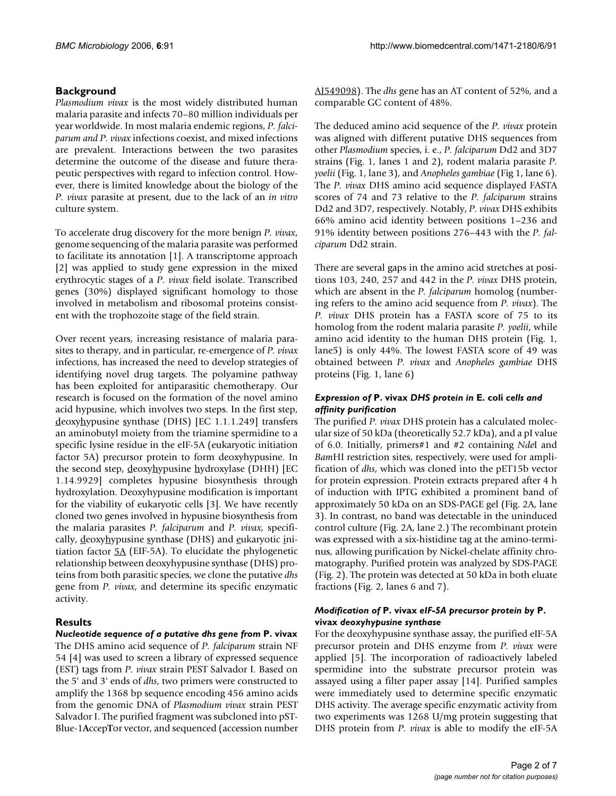# **Background**

*Plasmodium vivax* is the most widely distributed human malaria parasite and infects 70–80 million individuals per year worldwide. In most malaria endemic regions, *P. falciparum and P. vivax* infections coexist, and mixed infections are prevalent. Interactions between the two parasites determine the outcome of the disease and future therapeutic perspectives with regard to infection control. However, there is limited knowledge about the biology of the *P. vivax* parasite at present, due to the lack of an *in vitro* culture system.

To accelerate drug discovery for the more benign *P. vivax*, genome sequencing of the malaria parasite was performed to facilitate its annotation [1]. A transcriptome approach [2] was applied to study gene expression in the mixed erythrocytic stages of a *P. vivax* field isolate. Transcribed genes (30%) displayed significant homology to those involved in metabolism and ribosomal proteins consistent with the trophozoite stage of the field strain.

Over recent years, increasing resistance of malaria parasites to therapy, and in particular, re-emergence of *P. vivax* infections, has increased the need to develop strategies of identifying novel drug targets. The polyamine pathway has been exploited for antiparasitic chemotherapy. Our research is focused on the formation of the novel amino acid hypusine, which involves two steps. In the first step, deoxyhypusine synthase (DHS) [EC 1.1.1.249] transfers an aminobutyl moiety from the triamine spermidine to a specific lysine residue in the eIF-5A (eukaryotic initiation factor 5A) precursor protein to form deoxyhypusine. In the second step, deoxyhypusine hydroxylase (DHH) [EC 1.14.9929] completes hypusine biosynthesis through hydroxylation. Deoxyhypusine modification is important for the viability of eukaryotic cells [3]. We have recently cloned two genes involved in hypusine biosynthesis from the malaria parasites *P. falciparum* and *P. vivax*, specifically, deoxyhypusine synthase (DHS) and eukaryotic initiation factor  $5A$  (EIF-5A). To elucidate the phylogenetic relationship between deoxyhypusine synthase (DHS) proteins from both parasitic species, we clone the putative *dhs* gene from *P. vivax*, and determine its specific enzymatic activity.

# **Results**

*Nucleotide sequence of a putative dhs gene from* **P. vivax** The DHS amino acid sequence of *P. falciparum* strain NF 54 [4] was used to screen a library of expressed sequence (EST) tags from *P. vivax* strain PEST Salvador I. Based on the 5' and 3' ends of *dhs*, two primers were constructed to amplify the 1368 bp sequence encoding 456 amino acids from the genomic DNA of *Plasmodium vivax* strain PEST Salvador I. The purified fragment was subcloned into pST-Blue-1**A**ccep**T**or vector, and sequenced (accession number

[AJ549098\)](http://www.ncbi.nih.gov/entrez/query.fcgi?db=Nucleotide&cmd=search&term=AJ549098). The *dhs* gene has an AT content of 52%, and a comparable GC content of 48%.

The deduced amino acid sequence of the *P. vivax* protein was aligned with different putative DHS sequences from other *Plasmodium* species, i. e., *P. falciparum* Dd2 and 3D7 strains (Fig. 1, lanes 1 and 2), rodent malaria parasite *P. yoelii* (Fig. 1, lane 3), and *Anopheles gambiae* (Fig 1, lane 6). The *P. vivax* DHS amino acid sequence displayed FASTA scores of 74 and 73 relative to the *P. falciparum* strains Dd2 and 3D7, respectively. Notably, *P. vivax* DHS exhibits 66% amino acid identity between positions 1–236 and 91% identity between positions 276–443 with the *P. falciparum* Dd2 strain.

There are several gaps in the amino acid stretches at positions 103, 240, 257 and 442 in the *P. vivax* DHS protein, which are absent in the *P. falciparum* homolog (numbering refers to the amino acid sequence from *P. vivax*). The *P. vivax* DHS protein has a FASTA score of 75 to its homolog from the rodent malaria parasite *P. yoelii*, while amino acid identity to the human DHS protein (Fig. 1, lane5) is only 44%. The lowest FASTA score of 49 was obtained between *P. vivax* and *Anopheles gambiae* DHS proteins (Fig. 1, lane 6)

# *Expression of* **P. vivax** *DHS protein in* **E. coli** *cells and affinity purification*

The purified *P. vivax* DHS protein has a calculated molecular size of 50 kDa (theoretically 52.7 kDa), and a pI value of 6.0. Initially, primers#1 and #2 containing *Nde*I and *Bam*HI restriction sites, respectively, were used for amplification of *dhs*, which was cloned into the pET15b vector for protein expression. Protein extracts prepared after 4 h of induction with IPTG exhibited a prominent band of approximately 50 kDa on an SDS-PAGE gel (Fig. 2A, lane 3). In contrast, no band was detectable in the uninduced control culture (Fig. 2A, lane 2.) The recombinant protein was expressed with a six-histidine tag at the amino-terminus, allowing purification by Nickel-chelate affinity chromatography. Purified protein was analyzed by SDS-PAGE (Fig. 2). The protein was detected at 50 kDa in both eluate fractions (Fig. 2, lanes 6 and 7).

# *Modification of* **P. vivax** *eIF-5A precursor protein by* **P. vivax** *deoxyhypusine synthase*

For the deoxyhypusine synthase assay, the purified eIF-5A precursor protein and DHS enzyme from *P. vivax* were applied [5]. The incorporation of radioactively labeled spermidine into the substrate precursor protein was assayed using a filter paper assay [14]. Purified samples were immediately used to determine specific enzymatic DHS activity. The average specific enzymatic activity from two experiments was 1268 U/mg protein suggesting that DHS protein from *P. vivax* is able to modify the eIF-5A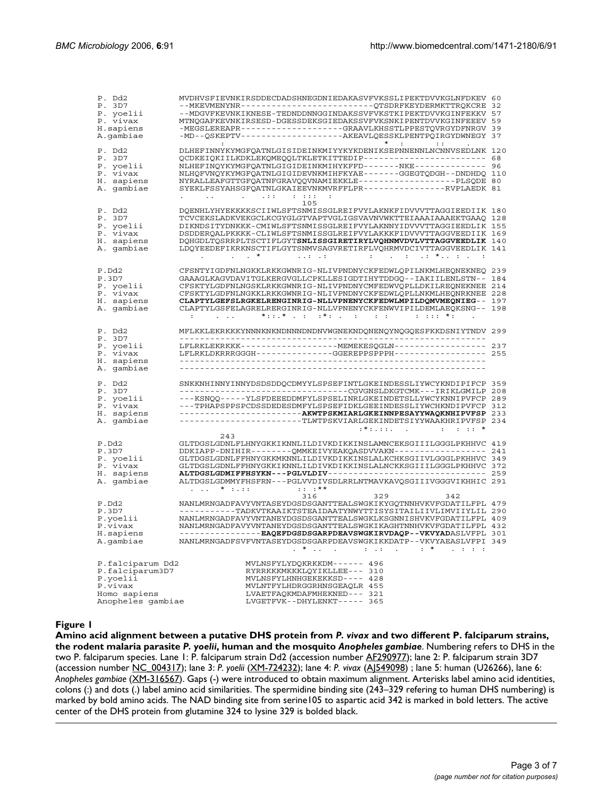| P. Dd2<br>P. 3D7<br>P. yoelii<br>P. vivax<br>H.sapiens<br>A.gambiae                             | MVDHVSFIEVNKIRSDDECDADSHNEGDNIEDAKASVFVKSSLIPEKTDVVKGLNFDKEV<br>--MKEVMENYNR-------------------------QTSDRFKEYDERMKTTRQKCRE 32<br>--MDGVFKEVNKIKNESE-TEDNDDNNGGINDAKSSVFVKSTKIPEKTDVVKGINFEKKV<br>MTNQGAFKEVNKIRSESD-DGESSDEKSGIEDAKSSVFVKSNKIPENTDVVKGINFEEEV<br>-MEGSLEREAPR-------------------GRAAVLKHSSTLPPESTQVRGYDFNRGV<br>-MD--QSKEPTV---------------------AKEAVLQESSKLPENTPQIRGYDWNEGY 37                                                                                                                                                                   | 39                       |
|-------------------------------------------------------------------------------------------------|---------------------------------------------------------------------------------------------------------------------------------------------------------------------------------------------------------------------------------------------------------------------------------------------------------------------------------------------------------------------------------------------------------------------------------------------------------------------------------------------------------------------------------------------------------------------|--------------------------|
| P. Dd2<br>P. 3D7<br>P. yoelii<br>P. vivax<br>H. sapiens<br>A. gambiae                           | $\star$ $\cdot$ $\cdot$ $\cdot$ $\cdot$ $\cdot$<br>$\sim 10$<br>DLHEFINNYKYMGFQATNLGISIDEINKMIYYKYKDENIKSEPNNENNLNCNNVSEDLNK 120<br>QCDKEIQKIILKDKLEKQMEQQLTKLETKITTEDIP------------------------<br>NLHEFINQYKYMGFQATNLGIGIDEINKMIHYKFFD-------NKE--------------<br>NLHQFVNQYKYMGFQATNLGIGIDEVNKMIHFKYAE-------GGEGTQDGH--DNDHDQ 110<br>NYRALLEAFGTTGFQATNFGRAVQQVNAMIEKKLE------------------PLSQDE 80<br>SYEKLFSSYAHSGFQATNLGKAIEEVNKMVRFFLPR---------------RVPLAEDK 81<br>$\sim$ 1.1.1 $\sim$<br>$-111$                                                           | 68<br>96                 |
| P. Dd2<br>P. 3D7<br>P. yoelii<br>P. vivax<br>H. sapiens<br>A. qambiae                           | 105<br>DQENHLYHYEKKKKSCIIWLSFTSNMISSGLREIFVYLAKNKFIDVVVTTAGGIEEDIIK 180<br>TCVCEKSLADKVEKGCLKCGYGLGTVAPTVGLIGSVAVNVWKTTEIAAAIAAAEKTGAAQ<br>DIKNDSITYDNKKK-CMIWLSFTSNMISSGLREIFVYLAKNNYIDVVVTTAGGIEEDLIK 155<br>DSDDERQALPKKKK-CLIWLSFTSNMISSGLREIFVYLAKKKFIDVVVTTAGGVEEDIIK 169<br>DQHGDLTQSRRPLTSCTIFLGYTSNLISSGIRETIRYLVQHNMVDVLVTTAGGVEEDLIK 140<br>LDQYEEDEFIKRKNSCTIFLGYTSNMVSAGVRETIRFLVQHRMVDCIVTTAGGVEEDLIK 141<br>$1.11 - 1.1$                                                                                                                             | 128                      |
| P.Dd2<br>P.3D7<br>P. yoelii<br>P. vivax<br>H. sapiens<br>A. qambiae                             | CFSNTYIGDFNLNGKKLRKKGWNRIG-NLIVPNDNYCKFEDWLQPILNKMLHEQNEKNEQ 239<br>GAAAGLKAGVDAVITGLKERGVGLLCPKLLESIGDTIHYTDDGQ -- IAKIILENLSTN --<br>CFSKTYLGDFNLNGSKLRKKGWNRIG-NLIVPNDNYCMFEDWVQPLLDKILREQNEKNEE 214<br>CFSKTYLGDFNLNGKKLRKKGWNRIG-NLIVPNDNYCKFEDWLQPLLNKMLHEQNRKNEE 228<br>CLAPTYLGEFSLRGKELRENGINRIG-NLLVPNENYCKFEDWLMPILDQMVMEQNIEG-- 197<br>CLAPTYLGSFELAGRELRERGINRIG-NLLVPNENYCKFENWVIPILDEMLAEQKSNG--<br>$*$ : $*$ . : $*$ : . :<br>$\mathcal{L} = \mathcal{L}$<br>$1.111 + 1.11$<br>:                                                                    | 184                      |
| P. Dd2<br>P. 3D7<br>P. yoelii<br>P. vivax<br>H. sapiens                                         | MFLKKLEKRKKKYNNNKNKNDNNNDNDNVWGNEKNDQNENQYNQGQESFKKDSNIYTNDV<br>LFLRKLDKRRRGGGH-------------GGEREPPSPPPH-----------------                                                                                                                                                                                                                                                                                                                                                                                                                                           | 299<br>237               |
| A. gambiae<br>P. Dd2<br>P. 3D7<br>P. yoelii<br>P. vivax<br>H. sapiens<br>A. gambiae             | SNKKNHINNYINNYDSDSDDQCDMYYLSPSEFINTLGKEINDESSLIYWCYKNDIPIFCP<br>-----------------------------------CGVGNSLDKGTCMK---IRIKLGMILP<br>---KSNQQ-----YLSFDEEEDDMFYLSPSELINRLGKEINDETSLLYWCYKNNIPVFCP 289<br>---TPHAPSPPSPCDSSDEDESDMFYLSPSEFIDKLGEEINDESSLIYWCHKNDIPVFCP 312<br>-------------------------TLWTPSKVIARLGEKINDETSIYYWAAKHRIPVFSP<br>:*:.::.  .  .  *                                                                                                                                                                                                         | 359<br>208<br>233<br>234 |
| P.Dd2<br>P.3D7<br>P. yoelii<br>P. vivax<br>H. sapiens<br>A. gambiae                             | 243<br>GLTDGSLGDNLFLHNYGKKIKNNLILDIVKDIKKINSLAMNCEKSGIIILGGGLPKHHVC 419<br>DDKIAPP-DNIHIR-------QMMKEIVYEAKQASDVVAKN-----------------<br>GLTDGSLGDNLFFHNYGKKMKNNLILDIVKDIKKINSLALKCHKSGIIVLGGGLPKHHVC 349<br>GLTDGSLGDNLFFHNYGKKIKNNLILDIVKDIKKINSLALNCKKSGIIILGGGLPKHHVC 372<br>ALTDGSLGDMIFFHSYKN---PGLVLDIV-------------------------------<br>ALTDGSLGDMMYFHSFRN---PGLVVDIVSDLRRLNTMAVKAVQSGIIIVGGGVIKHHIC 291<br>$: : : **$<br>.  *                                                                                                                             | 241<br>259               |
| P.Dd2<br>P.3D7<br>P.yoelii<br>P.vivax<br>H.sapiens<br>A.gambiae                                 | 316<br>329<br>342<br>NANLMRNGADFAVYVNTASEYDGSDSGANTTEALSWGKIKYGQTNNHVKVFGDATILFPL 479<br>----------TADKVTKAAIKTSTEAIDAATYNWYTTISYSITAILIIVLIMVIIYLIL 290<br>NANLMRNGADFAVYVNTANEYDGSDSGANTTEALSWGKLKSGNNISHVKVFGDATILFPL 409<br>NANLMRNGADFAVYVNTANEYDGSDSGANTTEALSWGKIKAGHTNNHVKVFGDATILFPL 432<br>----------------- <b>EAQEFDGSDSGARPDEAVSWGKIRVDAQP--VKVYAD</b> ASLVFPL 301<br>NANLMRNGADFSVFVNTASEYDGSDSGARPDEAVSWGKIKKDATP--VKVYAEASLVFPI 349<br>$. *$<br>$\mathcal{L}^{\text{max}}$ , $\mathcal{L}^{\text{max}}$ , and<br>$\cdot$ $^{\star}$<br>$-1.5$ $-1.5$ |                          |
| P.falciparum Dd2<br>P.falciparum3D7<br>P.yoelii<br>P.vivax<br>Homo sapiens<br>Anopheles gambiae | MVLNSFYLYDQKRKKDM------ 496<br>RYRRKKKMKKKLQYIKLLEE--- 310<br>MVLNSFYLHNHGEKEKKSD---- 428<br>MVLNTFYLHDRGGRHNSGEAQLR 455<br>LVAETFAQKMDAFMHEKNED--- 321<br>LVGETFVK--DHYLENKT----- 365                                                                                                                                                                                                                                                                                                                                                                              |                          |

#### Amino acid alignment between a putative DHS protein from parasite **Figure 1***P. yoelii*, human and the mosquito *Anopheles gambiae P. vivax* and two different P. falciparum strains, the rodent malaria

**Amino acid alignment between a putative DHS protein from** *P. vivax* **and two different P. falciparum strains, the rodent malaria parasite** *P. yoelii***, human and the mosquito** *Anopheles gambiae*. Numbering refers to DHS in the two P. falciparum species. Lane 1: P. falciparum strain Dd2 (accession number [AF290977](http://www.ncbi.nih.gov/entrez/query.fcgi?db=Nucleotide&cmd=search&term=AF290977)); lane 2: P. falciparum strain 3D7 (accession number [NC\\_004317](http://www.ncbi.nih.gov/entrez/query.fcgi?db=Nucleotide&cmd=search&term=NC_004317)); lane 3: *P. yoelii* ([XM-724232\)](http://www.ncbi.nih.gov/entrez/query.fcgi?db=Nucleotide&cmd=search&term=XM-724232); lane 4: *P. vivax* ([AJ549098\)](http://www.ncbi.nih.gov/entrez/query.fcgi?db=Nucleotide&cmd=search&term=AJ549098) ; lane 5: human (U26266), lane 6: *Anopheles gambiae* [\(XM-316567](http://www.ncbi.nih.gov/entrez/query.fcgi?db=Nucleotide&cmd=search&term=XM-316567)). Gaps (-) were introduced to obtain maximum alignment. Arterisks label amino acid identities, colons (:) and dots (.) label amino acid similarities. The spermidine binding site (243–329 refering to human DHS numbering) is marked by bold amino acids. The NAD binding site from serine105 to aspartic acid 342 is marked in bold letters. The active center of the DHS protein from glutamine 324 to lysine 329 is bolded black.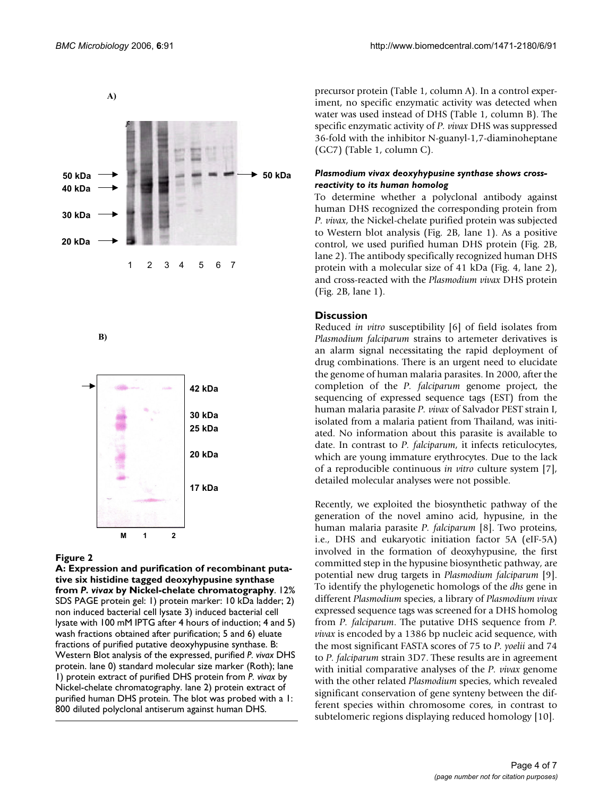

B)



#### Figure 2

**A: Expression and purification of recombinant putative six histidine tagged deoxyhypusine synthase from** *P. vivax* **by Nickel-chelate chromatography**. 12% SDS PAGE protein gel: 1) protein marker: 10 kDa ladder; 2) non induced bacterial cell lysate 3) induced bacterial cell lysate with 100 mM IPTG after 4 hours of induction; 4 and 5) wash fractions obtained after purification; 5 and 6) eluate fractions of purified putative deoxyhypusine synthase. B: Western Blot analysis of the expressed, purified *P. vivax* DHS protein. lane 0) standard molecular size marker (Roth); lane 1) protein extract of purified DHS protein from *P. vivax* by Nickel-chelate chromatography. lane 2) protein extract of purified human DHS protein. The blot was probed with a 1: 800 diluted polyclonal antiserum against human DHS.

precursor protein (Table 1, column A). In a control experiment, no specific enzymatic activity was detected when water was used instead of DHS (Table 1, column B). The specific enzymatic activity of *P. vivax* DHS was suppressed 36-fold with the inhibitor N-guanyl-1,7-diaminoheptane (GC7) (Table 1, column C).

#### *Plasmodium vivax deoxyhypusine synthase shows crossreactivity to its human homolog*

To determine whether a polyclonal antibody against human DHS recognized the corresponding protein from *P. vivax*, the Nickel-chelate purified protein was subjected to Western blot analysis (Fig. 2B, lane 1). As a positive control, we used purified human DHS protein (Fig. 2B, lane 2). The antibody specifically recognized human DHS protein with a molecular size of 41 kDa (Fig. 4, lane 2), and cross-reacted with the *Plasmodium vivax* DHS protein (Fig. 2B, lane 1).

# **Discussion**

Reduced *in vitro* susceptibility [6] of field isolates from *Plasmodium falciparum* strains to artemeter derivatives is an alarm signal necessitating the rapid deployment of drug combinations. There is an urgent need to elucidate the genome of human malaria parasites. In 2000, after the completion of the *P. falciparum* genome project, the sequencing of expressed sequence tags (EST) from the human malaria parasite *P. vivax* of Salvador PEST strain I, isolated from a malaria patient from Thailand, was initiated. No information about this parasite is available to date. In contrast to *P. falciparum*, it infects reticulocytes, which are young immature erythrocytes. Due to the lack of a reproducible continuous *in vitro* culture system [7], detailed molecular analyses were not possible.

Recently, we exploited the biosynthetic pathway of the generation of the novel amino acid, hypusine, in the human malaria parasite *P. falciparum* [8]. Two proteins, i.e., DHS and eukaryotic initiation factor 5A (eIF-5A) involved in the formation of deoxyhypusine, the first committed step in the hypusine biosynthetic pathway, are potential new drug targets in *Plasmodium falciparum* [9]. To identify the phylogenetic homologs of the *dhs* gene in different *Plasmodium* species, a library of *Plasmodium vivax* expressed sequence tags was screened for a DHS homolog from *P. falciparum*. The putative DHS sequence from *P. vivax* is encoded by a 1386 bp nucleic acid sequence, with the most significant FASTA scores of 75 to *P. yoelii* and 74 to *P. falciparum* strain 3D7. These results are in agreement with initial comparative analyses of the *P. vivax* genome with the other related *Plasmodium* species, which revealed significant conservation of gene synteny between the different species within chromosome cores, in contrast to subtelomeric regions displaying reduced homology [10].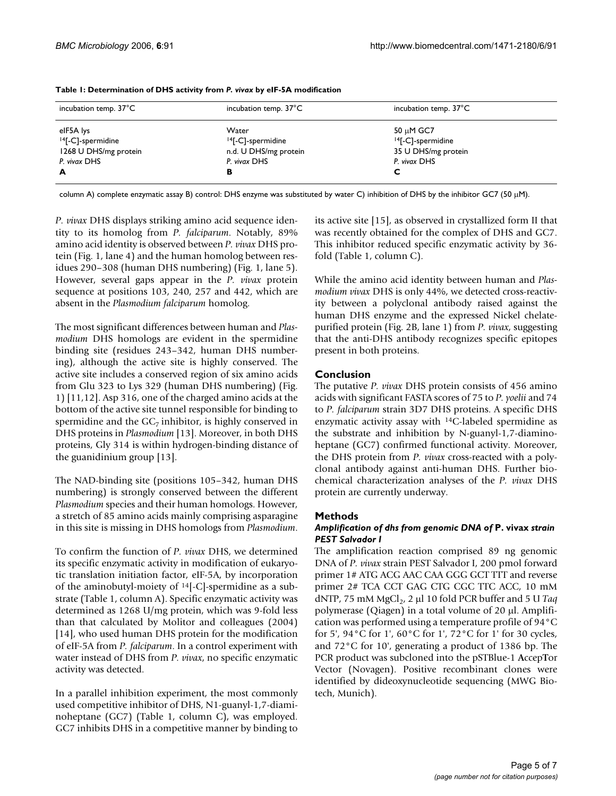| incubation temp. $37^{\circ}$ C                                                          | incubation temp. $37^{\circ}$ C                                                      | incubation temp. $37^{\circ}$ C                                                   |
|------------------------------------------------------------------------------------------|--------------------------------------------------------------------------------------|-----------------------------------------------------------------------------------|
| elF5A lys<br><sup>14</sup> [-C]-spermidine<br>1268 U DHS/mg protein<br>P. vivax DHS<br>A | Water<br><sup>14</sup> [-C]-spermidine<br>n.d. U DHS/mg protein<br>P. vivax DHS<br>в | 50 µM GC7<br><sup>14</sup> [-C]-spermidine<br>35 U DHS/mg protein<br>P. vivax DHS |

**Table 1: Determination of DHS activity from** *P. vivax* **by eIF-5A modification**

column A) complete enzymatic assay B) control: DHS enzyme was substituted by water C) inhibition of DHS by the inhibitor GC7 (50 μM).

*P. vivax* DHS displays striking amino acid sequence identity to its homolog from *P. falciparum*. Notably, 89% amino acid identity is observed between *P. vivax* DHS protein (Fig. 1, lane 4) and the human homolog between residues 290–308 (human DHS numbering) (Fig. 1, lane 5). However, several gaps appear in the *P. vivax* protein sequence at positions 103, 240, 257 and 442, which are absent in the *Plasmodium falciparum* homolog.

The most significant differences between human and *Plasmodium* DHS homologs are evident in the spermidine binding site (residues 243–342, human DHS numbering), although the active site is highly conserved. The active site includes a conserved region of six amino acids from Glu 323 to Lys 329 (human DHS numbering) (Fig. 1) [11,12]. Asp 316, one of the charged amino acids at the bottom of the active site tunnel responsible for binding to spermidine and the  $GC<sub>7</sub>$  inhibitor, is highly conserved in DHS proteins in *Plasmodium* [13]. Moreover, in both DHS proteins, Gly 314 is within hydrogen-binding distance of the guanidinium group [13].

The NAD-binding site (positions 105–342, human DHS numbering) is strongly conserved between the different *Plasmodium* species and their human homologs. However, a stretch of 85 amino acids mainly comprising asparagine in this site is missing in DHS homologs from *Plasmodium*.

To confirm the function of *P. vivax* DHS, we determined its specific enzymatic activity in modification of eukaryotic translation initiation factor, eIF-5A, by incorporation of the aminobutyl-moiety of 14[-C]-spermidine as a substrate (Table 1, column A). Specific enzymatic activity was determined as 1268 U/mg protein, which was 9-fold less than that calculated by Molitor and colleagues (2004) [14], who used human DHS protein for the modification of eIF-5A from *P. falciparum*. In a control experiment with water instead of DHS from *P. vivax*, no specific enzymatic activity was detected.

In a parallel inhibition experiment, the most commonly used competitive inhibitor of DHS, N1-guanyl-1,7-diaminoheptane (GC7) (Table 1, column C), was employed. GC7 inhibits DHS in a competitive manner by binding to

its active site [15], as observed in crystallized form II that was recently obtained for the complex of DHS and GC7. This inhibitor reduced specific enzymatic activity by 36 fold (Table 1, column C).

While the amino acid identity between human and *Plasmodium vivax* DHS is only 44%, we detected cross-reactivity between a polyclonal antibody raised against the human DHS enzyme and the expressed Nickel chelatepurified protein (Fig. 2B, lane 1) from *P. vivax*, suggesting that the anti-DHS antibody recognizes specific epitopes present in both proteins.

# **Conclusion**

The putative *P. vivax* DHS protein consists of 456 amino acids with significant FASTA scores of 75 to *P. yoelii* and 74 to *P. falciparum* strain 3D7 DHS proteins. A specific DHS enzymatic activity assay with 14C-labeled spermidine as the substrate and inhibition by N-guanyl-1,7-diaminoheptane (GC7) confirmed functional activity. Moreover, the DHS protein from *P. vivax* cross-reacted with a polyclonal antibody against anti-human DHS. Further biochemical characterization analyses of the *P. vivax* DHS protein are currently underway.

# **Methods**

# *Amplification of dhs from genomic DNA of* **P. vivax** *strain PEST Salvador I*

The amplification reaction comprised 89 ng genomic DNA of *P. vivax* strain PEST Salvador I, 200 pmol forward primer 1# ATG ACG AAC CAA GGG GCT TTT and reverse primer 2# TCA CCT GAG CTG CGC TTC ACC, 10 mM dNTP, 75 mM MgCl<sub>2</sub>, 2 μl 10 fold PCR buffer and 5 U *Taq* polymerase (Qiagen) in a total volume of 20 μl. Amplification was performed using a temperature profile of 94°C for 5', 94°C for 1', 60°C for 1', 72°C for 1' for 30 cycles, and 72°C for 10', generating a product of 1386 bp. The PCR product was subcloned into the pSTBlue-1 **A**ccep**T**or Vector (Novagen). Positive recombinant clones were identified by dideoxynucleotide sequencing (MWG Biotech, Munich).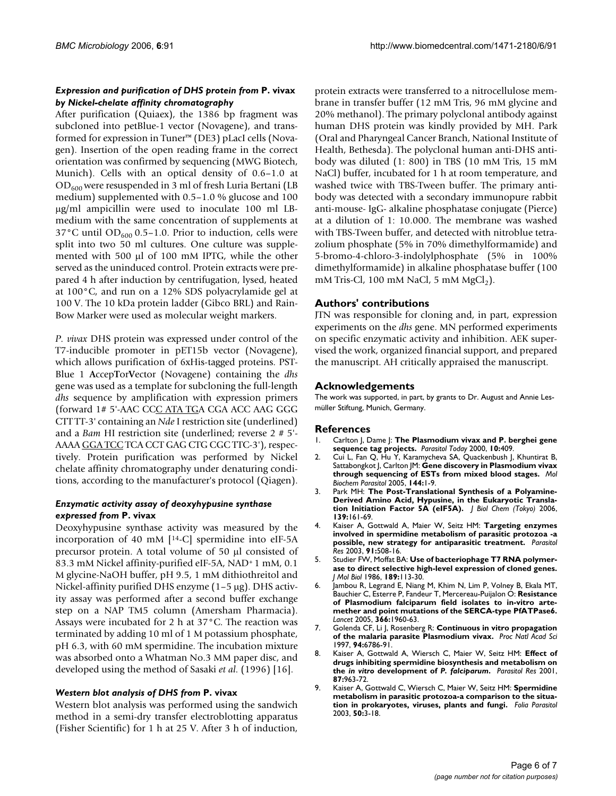#### *Expression and purification of DHS protein from* **P. vivax**  *by Nickel-chelate affinity chromatography*

After purification (Quiaex), the 1386 bp fragment was subcloned into petBlue-1 vector (Novagene), and transformed for expression in Tuner™ (DE3) pLacI cells (Novagen). Insertion of the open reading frame in the correct orientation was confirmed by sequencing (MWG Biotech, Munich). Cells with an optical density of 0.6–1.0 at  $OD_{600}$  were resuspended in 3 ml of fresh Luria Bertani (LB medium) supplemented with 0.5–1.0 % glucose and 100 μg/ml ampicillin were used to inoculate 100 ml LBmedium with the same concentration of supplements at 37°C until OD<sub>600</sub> 0.5–1.0. Prior to induction, cells were split into two 50 ml cultures. One culture was supplemented with 500 μl of 100 mM IPTG, while the other served as the uninduced control. Protein extracts were prepared 4 h after induction by centrifugation, lysed, heated at 100°C, and run on a 12% SDS polyacrylamide gel at 100 V. The 10 kDa protein ladder (Gibco BRL) and Rain-Bow Marker were used as molecular weight markers.

*P. vivax* DHS protein was expressed under control of the T7-inducible promoter in pET15b vector (Novagene), which allows purification of 6xHis-tagged proteins. PST-Blue 1 **A**ccep**T**or**V**ector (Novagene) containing the *dhs* gene was used as a template for subcloning the full-length *dhs* sequence by amplification with expression primers (forward 1# 5'-AAC CCC ATA TGA CGA ACC AAG GGG CTT TT-3' containing an *Nde* I restriction site (underlined) and a *Bam* HI restriction site (underlined; reverse 2 # 5'- AAAA GGA TCC TCA CCT GAG CTG CGC TTC-3'), respectively. Protein purification was performed by Nickel chelate affinity chromatography under denaturing conditions, according to the manufacturer's protocol (Qiagen).

#### *Enzymatic activity assay of deoxyhypusine synthase expressed from* **P. vivax**

Deoxyhypusine synthase activity was measured by the incorporation of 40 mM  $[14-C]$  spermidine into eIF-5A precursor protein. A total volume of 50 μl consisted of 83.3 mM Nickel affinity-purified eIF-5A, NAD+ 1 mM, 0.1 M glycine-NaOH buffer, pH 9.5, 1 mM dithiothreitol and Nickel-affinity purified DHS enzyme (1–5 μg). DHS activity assay was performed after a second buffer exchange step on a NAP TM5 column (Amersham Pharmacia). Assays were incubated for 2 h at 37°C. The reaction was terminated by adding 10 ml of 1 M potassium phosphate, pH 6.3, with 60 mM spermidine. The incubation mixture was absorbed onto a Whatman No.3 MM paper disc, and developed using the method of Sasaki *et al*. (1996) [16].

#### *Western blot analysis of DHS from* **P. vivax**

Western blot analysis was performed using the sandwich method in a semi-dry transfer electroblotting apparatus (Fisher Scientific) for 1 h at 25 V. After 3 h of induction,

protein extracts were transferred to a nitrocellulose membrane in transfer buffer (12 mM Tris, 96 mM glycine and 20% methanol). The primary polyclonal antibody against human DHS protein was kindly provided by MH. Park (Oral and Pharyngeal Cancer Branch, National Institute of Health, Bethesda). The polyclonal human anti-DHS antibody was diluted (1: 800) in TBS (10 mM Tris, 15 mM NaCl) buffer, incubated for 1 h at room temperature, and washed twice with TBS-Tween buffer. The primary antibody was detected with a secondary immunopure rabbit anti-mouse- IgG- alkaline phosphatase conjugate (Pierce) at a dilution of 1: 10.000. The membrane was washed with TBS-Tween buffer, and detected with nitroblue tetrazolium phosphate (5% in 70% dimethylformamide) and 5-bromo-4-chloro-3-indolylphosphate (5% in 100% dimethylformamide) in alkaline phosphatase buffer (100 mM Tris-Cl, 100 mM NaCl, 5 mM  $MgCl<sub>2</sub>$ ).

# **Authors' contributions**

JTN was responsible for cloning and, in part, expression experiments on the *dhs* gene. MN performed experiments on specific enzymatic activity and inhibition. AEK supervised the work, organized financial support, and prepared the manuscript. AH critically appraised the manuscript.

# **Acknowledgements**

The work was supported, in part, by grants to Dr. August and Annie Lesmüller Stiftung, Munich, Germany.

#### **References**

- 1. Carlton J, Dame J: The Plasmodium vivax and P. berghei gene **sequence tag projects.** *Parasitol Today* 2000, **10:**409.
- 2. Cui L, Fan Q, Hu Y, Karamycheva SA, Quackenbush J, Khuntirat B, Sattabongkot J, Carlton JM: **[Gene discovery in Plasmodium vivax](http://www.ncbi.nlm.nih.gov/entrez/query.fcgi?cmd=Retrieve&db=PubMed&dopt=Abstract&list_uids=16085323) [through sequencing of ESTs from mixed blood stages.](http://www.ncbi.nlm.nih.gov/entrez/query.fcgi?cmd=Retrieve&db=PubMed&dopt=Abstract&list_uids=16085323)** *Mol Biochem Parasitol* 2005, **144:**1-9.
- 3. Park MH: **The Post-Translational Synthesis of a Polyamine-Derived Amino Acid, Hypusine, in the Eukaryotic Translation Initiation Factor 5A (eIF5A).** *J Biol Chem (Tokyo)* 2006, **139:**161-69.
- 4. Kaiser A, Gottwald A, Maier W, Seitz HM: **[Targeting enzymes](http://www.ncbi.nlm.nih.gov/entrez/query.fcgi?cmd=Retrieve&db=PubMed&dopt=Abstract&list_uids=14530966) [involved in spermidine metabolism of parasitic protozoa -a](http://www.ncbi.nlm.nih.gov/entrez/query.fcgi?cmd=Retrieve&db=PubMed&dopt=Abstract&list_uids=14530966) [possible, new strategy for antiparasitic treatment.](http://www.ncbi.nlm.nih.gov/entrez/query.fcgi?cmd=Retrieve&db=PubMed&dopt=Abstract&list_uids=14530966)** *Parasitol Res* 2003, **91:**508-16.
- 5. Studier FW, Moffat BA: **[Use of bacteriophage T7 RNA polymer](http://www.ncbi.nlm.nih.gov/entrez/query.fcgi?cmd=Retrieve&db=PubMed&dopt=Abstract&list_uids=3537305)[ase to direct selective high-level expression of cloned genes.](http://www.ncbi.nlm.nih.gov/entrez/query.fcgi?cmd=Retrieve&db=PubMed&dopt=Abstract&list_uids=3537305)** *J Mol Biol* 1986, **189:**113-30.
- Jambou R, Legrand E, Niang M, Khim N, Lim P, Volney B, Ekala MT, Bauchier C, Esterre P, Fandeur T, Mercereau-Puijalon O: **[Resistance](http://www.ncbi.nlm.nih.gov/entrez/query.fcgi?cmd=Retrieve&db=PubMed&dopt=Abstract&list_uids=16325698) [of Plasmodium falciparum field isolates to in-vitro arte](http://www.ncbi.nlm.nih.gov/entrez/query.fcgi?cmd=Retrieve&db=PubMed&dopt=Abstract&list_uids=16325698)mether and point mutations of the SERCA-type PfATPase6.** *Lancet* 2005, **366:**1960-63.
- 7. Golenda CF, Li J, Rosenberg R: **[Continuous in vitro propagation](http://www.ncbi.nlm.nih.gov/entrez/query.fcgi?cmd=Retrieve&db=PubMed&dopt=Abstract&list_uids=9192643) [of the malaria parasite Plasmodium vivax.](http://www.ncbi.nlm.nih.gov/entrez/query.fcgi?cmd=Retrieve&db=PubMed&dopt=Abstract&list_uids=9192643)** *Proc Natl Acad Sci* 1997, **94:**6786-91.
- 8. Kaiser A, Gottwald A, Wiersch C, Maier W, Seitz HM: **Effect of drugs inhibiting spermidine biosynthesis and metabolism on the** *in vitro* **development of** *P. falciparum***[.](http://www.ncbi.nlm.nih.gov/entrez/query.fcgi?cmd=Retrieve&db=PubMed&dopt=Abstract&list_uids=11728024)** *Parasitol Res* 2001, **87:**963-72.
- 9. Kaiser A, Gottwald C, Wiersch C, Maier W, Seitz HM: **[Spermidine](http://www.ncbi.nlm.nih.gov/entrez/query.fcgi?cmd=Retrieve&db=PubMed&dopt=Abstract&list_uids=12735718) [metabolism in parasitic protozoa-a comparison to the situa](http://www.ncbi.nlm.nih.gov/entrez/query.fcgi?cmd=Retrieve&db=PubMed&dopt=Abstract&list_uids=12735718)[tion in prokaryotes, viruses, plants and fungi.](http://www.ncbi.nlm.nih.gov/entrez/query.fcgi?cmd=Retrieve&db=PubMed&dopt=Abstract&list_uids=12735718)** *Folia Parasitol* 2003, **50:**3-18.